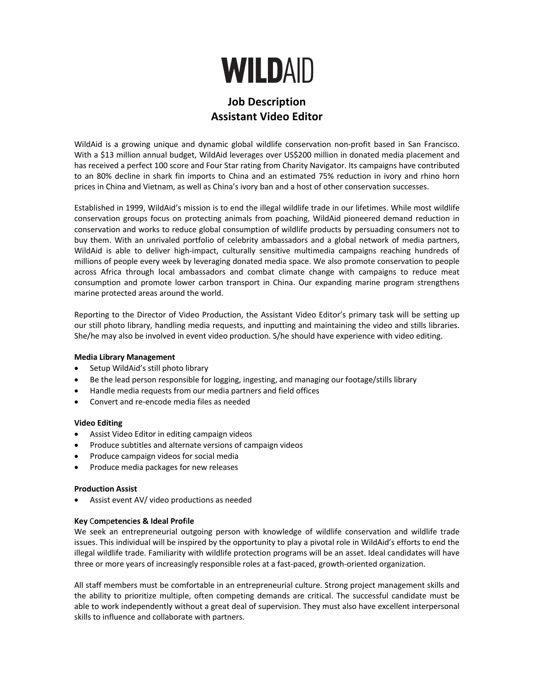

# **Job Description Assistant Video Editor**

WildAid is a growing unique and dynamic global wildlife conservation non-profit based in San Francisco. With a \$13 million annual budget, WildAid leverages over US\$200 million in donated media placement and has received a perfect 100 score and Four Star rating from Charity Navigator. Its campaigns have contributed to an 80% decline in shark fin imports to China and an estimated 75% reduction in ivory and rhino horn prices in China and Vietnam, as well as China's ivory ban and a host of other conservation successes.

Established in 1999, WildAid's mission is to end the illegal wildlife trade in our lifetimes. While most wildlife conservation groups focus on protecting animals from poaching, WildAid pioneered demand reduction in conservation and works to reduce global consumption of wildlife products by persuading consumers not to buy them. With an unrivaled portfolio of celebrity ambassadors and a global network of media partners, WildAid is able to deliver high-impact, culturally sensitive multimedia campaigns reaching hundreds of millions of people every week by leveraging donated media space. We also promote conservation to people across Africa through local ambassadors and combat climate change with campaigns to reduce meat consumption and promote lower carbon transport in China. Our expanding marine program strengthens marine protected areas around the world.

Reporting to the Director of Video Production, the Assistant Video Editor's primary task will be setting up our still photo library, handling media requests, and inputting and maintaining the video and stills libraries. She/he may also be involved in event video production. S/he should have experience with video editing.

# **Media Library Management**

- Setup WildAid's still photo library
- Be the lead person responsible for logging, ingesting, and managing our footage/stills library
- Handle media requests from our media partners and field offices
- Convert and re-encode media files as needed

#### **Video Editing**

- Assist Video Editor in editing campaign videos
- Produce subtitles and alternate versions of campaign videos
- Produce campaign videos for social media
- Produce media packages for new releases

#### **Production Assist**

Assist event AV/ video productions as needed

#### **Key** C**om**p**etenc**i**es & Ideal Prof**i**le**

We seek an entrepreneurial outgoing person with knowledge of wildlife conservation and wildlife trade issues. This individual will be inspired by the opportunity to play a pivotal role in WildAid's efforts to end the illegal wildlife trade. Familiarity with wildlife protection programs will be an asset. Ideal candidates will have three or more years of increasingly responsible roles at a fast-paced, growth-oriented organization.

All staff members must be comfortable in an entrepreneurial culture. Strong project management skills and the ability to prioritize multiple, often competing demands are critical. The successful candidate must be able to work independently without a great deal of supervision. They must also have excellent interpersonal skills to influence and collaborate with partners.